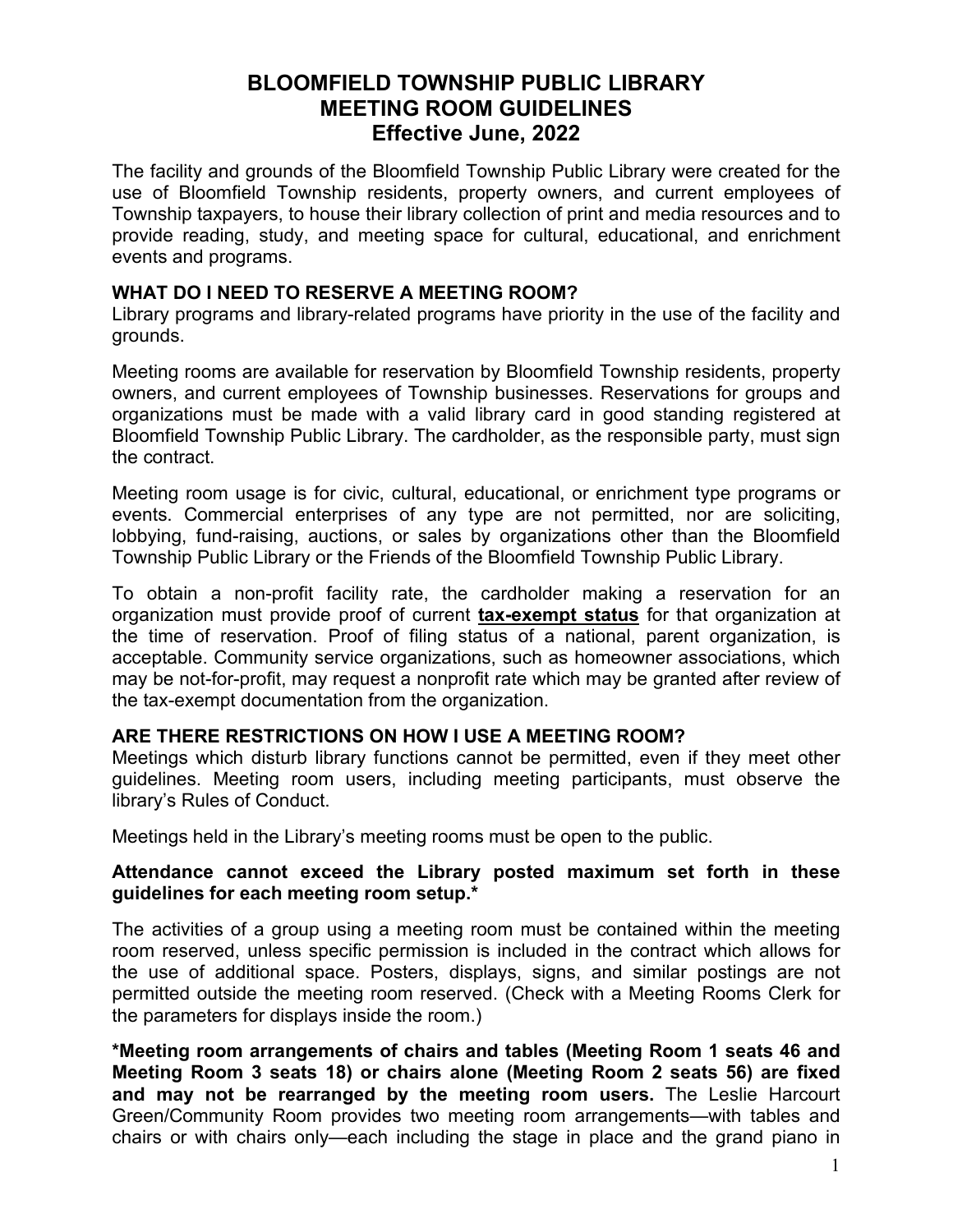# **BLOOMFIELD TOWNSHIP PUBLIC LIBRARY MEETING ROOM GUIDELINES Effective June, 2022**

The facility and grounds of the Bloomfield Township Public Library were created for the use of Bloomfield Township residents, property owners, and current employees of Township taxpayers, to house their library collection of print and media resources and to provide reading, study, and meeting space for cultural, educational, and enrichment events and programs.

## **WHAT DO I NEED TO RESERVE A MEETING ROOM?**

Library programs and library-related programs have priority in the use of the facility and grounds.

Meeting rooms are available for reservation by Bloomfield Township residents, property owners, and current employees of Township businesses. Reservations for groups and organizations must be made with a valid library card in good standing registered at Bloomfield Township Public Library. The cardholder, as the responsible party, must sign the contract.

Meeting room usage is for civic, cultural, educational, or enrichment type programs or events. Commercial enterprises of any type are not permitted, nor are soliciting, lobbying, fund-raising, auctions, or sales by organizations other than the Bloomfield Township Public Library or the Friends of the Bloomfield Township Public Library.

To obtain a non-profit facility rate, the cardholder making a reservation for an organization must provide proof of current **tax-exempt status** for that organization at the time of reservation. Proof of filing status of a national, parent organization, is acceptable. Community service organizations, such as homeowner associations, which may be not-for-profit, may request a nonprofit rate which may be granted after review of the tax-exempt documentation from the organization.

### **ARE THERE RESTRICTIONS ON HOW I USE A MEETING ROOM?**

Meetings which disturb library functions cannot be permitted, even if they meet other guidelines. Meeting room users, including meeting participants, must observe the library's [Rules of Conduct.](http://www.btpl.org/about/Code_of_Conduct/rules_of_conduct.html)

Meetings held in the Library's meeting rooms must be open to the public.

### **Attendance cannot exceed the Library posted maximum set forth in these guidelines for each meeting room setup.\***

The activities of a group using a meeting room must be contained within the meeting room reserved, unless specific permission is included in the contract which allows for the use of additional space. Posters, displays, signs, and similar postings are not permitted outside the meeting room reserved. (Check with a Meeting Rooms Clerk for the parameters for displays inside the room.)

**\*Meeting room arrangements of chairs and tables (Meeting Room 1 seats 46 and Meeting Room 3 seats 18) or chairs alone (Meeting Room 2 seats 56) are fixed and may not be rearranged by the meeting room users.** The Leslie Harcourt Green/Community Room provides two meeting room arrangements—with tables and chairs or with chairs only—each including the stage in place and the grand piano in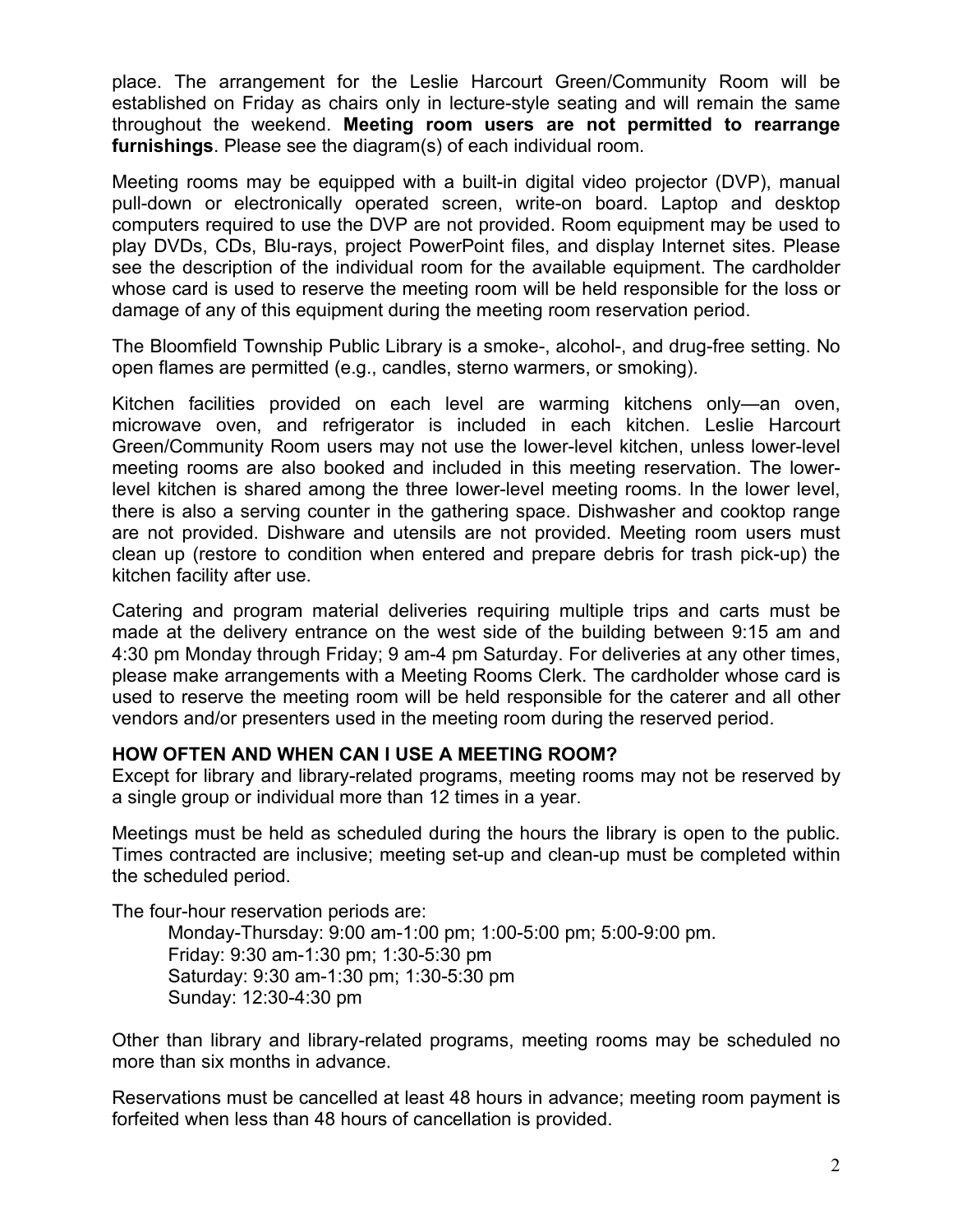place. The arrangement for the Leslie Harcourt Green/Community Room will be established on Friday as chairs only in lecture-style seating and will remain the same throughout the weekend. **Meeting room users are not permitted to rearrange furnishings**. Please see the diagram(s) of each individual room.

Meeting rooms may be equipped with a built-in digital video projector (DVP), manual pull-down or electronically operated screen, write-on board. Laptop and desktop computers required to use the DVP are not provided. Room equipment may be used to play DVDs, CDs, Blu-rays, project PowerPoint files, and display Internet sites. Please see the description of the individual room for the available equipment. The cardholder whose card is used to reserve the meeting room will be held responsible for the loss or damage of any of this equipment during the meeting room reservation period.

The Bloomfield Township Public Library is a smoke-, alcohol-, and drug-free setting. No open flames are permitted (e.g., candles, sterno warmers, or smoking).

Kitchen facilities provided on each level are warming kitchens only—an oven, microwave oven, and refrigerator is included in each kitchen. Leslie Harcourt Green/Community Room users may not use the lower-level kitchen, unless lower-level meeting rooms are also booked and included in this meeting reservation. The lowerlevel kitchen is shared among the three lower-level meeting rooms. In the lower level, there is also a serving counter in the gathering space. Dishwasher and cooktop range are not provided. Dishware and utensils are not provided. Meeting room users must clean up (restore to condition when entered and prepare debris for trash pick-up) the kitchen facility after use.

Catering and program material deliveries requiring multiple trips and carts must be made at the delivery entrance on the west side of the building between 9:15 am and 4:30 pm Monday through Friday; 9 am-4 pm Saturday. For deliveries at any other times, please make arrangements with a Meeting Rooms Clerk. The cardholder whose card is used to reserve the meeting room will be held responsible for the caterer and all other vendors and/or presenters used in the meeting room during the reserved period.

### **HOW OFTEN AND WHEN CAN I USE A MEETING ROOM?**

Except for library and library-related programs, meeting rooms may not be reserved by a single group or individual more than 12 times in a year.

Meetings must be held as scheduled during the hours the library is open to the public. Times contracted are inclusive; meeting set-up and clean-up must be completed within the scheduled period.

The four-hour reservation periods are:

Monday-Thursday: 9:00 am-1:00 pm; 1:00-5:00 pm; 5:00-9:00 pm. Friday: 9:30 am-1:30 pm; 1:30-5:30 pm Saturday: 9:30 am-1:30 pm; 1:30-5:30 pm Sunday: 12:30-4:30 pm

Other than library and library-related programs, meeting rooms may be scheduled no more than six months in advance.

Reservations must be cancelled at least 48 hours in advance; meeting room payment is forfeited when less than 48 hours of cancellation is provided.